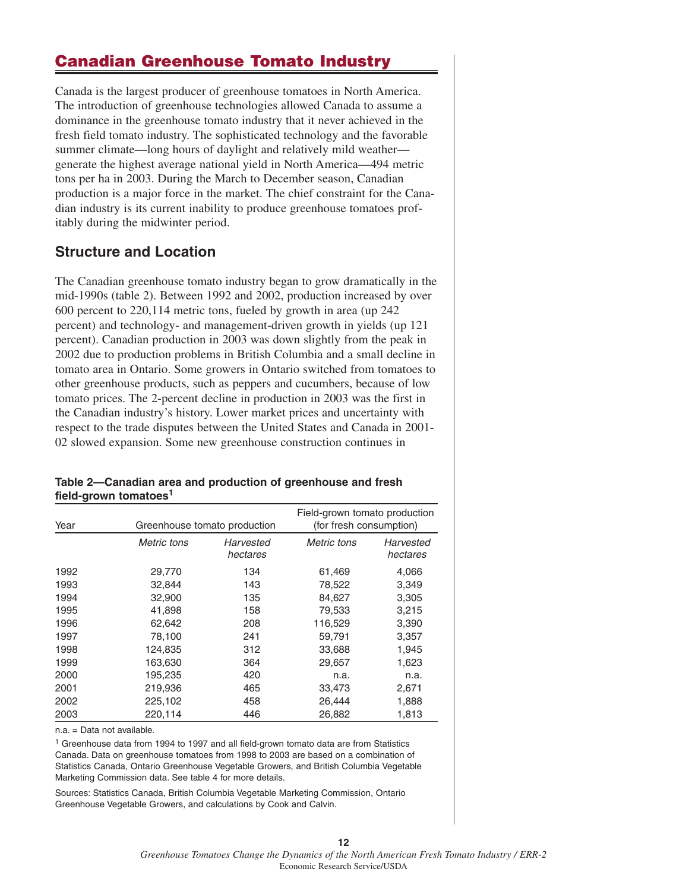# **Canadian Greenhouse Tomato Industry**

Canada is the largest producer of greenhouse tomatoes in North America. The introduction of greenhouse technologies allowed Canada to assume a dominance in the greenhouse tomato industry that it never achieved in the fresh field tomato industry. The sophisticated technology and the favorable summer climate—long hours of daylight and relatively mild weather generate the highest average national yield in North America—494 metric tons per ha in 2003. During the March to December season, Canadian production is a major force in the market. The chief constraint for the Canadian industry is its current inability to produce greenhouse tomatoes profitably during the midwinter period.

### **Structure and Location**

The Canadian greenhouse tomato industry began to grow dramatically in the mid-1990s (table 2). Between 1992 and 2002, production increased by over 600 percent to 220,114 metric tons, fueled by growth in area (up 242 percent) and technology- and management-driven growth in yields (up 121 percent). Canadian production in 2003 was down slightly from the peak in 2002 due to production problems in British Columbia and a small decline in tomato area in Ontario. Some growers in Ontario switched from tomatoes to other greenhouse products, such as peppers and cucumbers, because of low tomato prices. The 2-percent decline in production in 2003 was the first in the Canadian industry's history. Lower market prices and uncertainty with respect to the trade disputes between the United States and Canada in 2001- 02 slowed expansion. Some new greenhouse construction continues in

### **Table 2—Canadian area and production of greenhouse and fresh field-grown tomatoes<sup>1</sup>**

| Year | Greenhouse tomato production |                       | Field-grown tomato production<br>(for fresh consumption) |                       |  |
|------|------------------------------|-----------------------|----------------------------------------------------------|-----------------------|--|
|      | Metric tons                  | Harvested<br>hectares | Metric tons                                              | Harvested<br>hectares |  |
| 1992 | 29,770                       | 134                   | 61,469                                                   | 4,066                 |  |
| 1993 | 32,844                       | 143                   | 78,522                                                   | 3,349                 |  |
| 1994 | 32,900                       | 135                   | 84,627                                                   | 3,305                 |  |
| 1995 | 41,898                       | 158                   | 79,533                                                   | 3,215                 |  |
| 1996 | 62,642                       | 208                   | 116,529                                                  | 3,390                 |  |
| 1997 | 78,100                       | 241                   | 59,791                                                   | 3,357                 |  |
| 1998 | 124,835                      | 312                   | 33,688                                                   | 1,945                 |  |
| 1999 | 163,630                      | 364                   | 29,657                                                   | 1,623                 |  |
| 2000 | 195,235                      | 420                   | n.a.                                                     | n.a.                  |  |
| 2001 | 219,936                      | 465                   | 33,473                                                   | 2,671                 |  |
| 2002 | 225,102                      | 458                   | 26,444                                                   | 1,888                 |  |
| 2003 | 220,114                      | 446                   | 26,882                                                   | 1,813                 |  |

n.a. = Data not available.

<sup>1</sup> Greenhouse data from 1994 to 1997 and all field-grown tomato data are from Statistics Canada. Data on greenhouse tomatoes from 1998 to 2003 are based on a combination of Statistics Canada, Ontario Greenhouse Vegetable Growers, and British Columbia Vegetable Marketing Commission data. See table 4 for more details.

Sources: Statistics Canada, British Columbia Vegetable Marketing Commission, Ontario Greenhouse Vegetable Growers, and calculations by Cook and Calvin.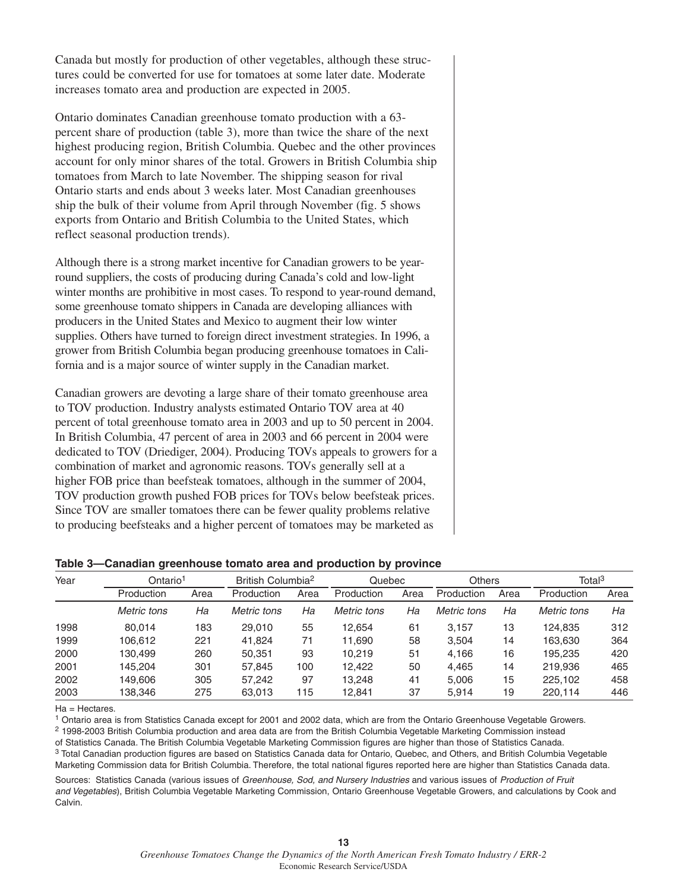Canada but mostly for production of other vegetables, although these structures could be converted for use for tomatoes at some later date. Moderate increases tomato area and production are expected in 2005.

Ontario dominates Canadian greenhouse tomato production with a 63 percent share of production (table 3), more than twice the share of the next highest producing region, British Columbia. Quebec and the other provinces account for only minor shares of the total. Growers in British Columbia ship tomatoes from March to late November. The shipping season for rival Ontario starts and ends about 3 weeks later. Most Canadian greenhouses ship the bulk of their volume from April through November (fig. 5 shows exports from Ontario and British Columbia to the United States, which reflect seasonal production trends).

Although there is a strong market incentive for Canadian growers to be yearround suppliers, the costs of producing during Canada's cold and low-light winter months are prohibitive in most cases. To respond to year-round demand, some greenhouse tomato shippers in Canada are developing alliances with producers in the United States and Mexico to augment their low winter supplies. Others have turned to foreign direct investment strategies. In 1996, a grower from British Columbia began producing greenhouse tomatoes in California and is a major source of winter supply in the Canadian market.

Canadian growers are devoting a large share of their tomato greenhouse area to TOV production. Industry analysts estimated Ontario TOV area at 40 percent of total greenhouse tomato area in 2003 and up to 50 percent in 2004. In British Columbia, 47 percent of area in 2003 and 66 percent in 2004 were dedicated to TOV (Driediger, 2004). Producing TOVs appeals to growers for a combination of market and agronomic reasons. TOVs generally sell at a higher FOB price than beefsteak tomatoes, although in the summer of 2004, TOV production growth pushed FOB prices for TOVs below beefsteak prices. Since TOV are smaller tomatoes there can be fewer quality problems relative to producing beefsteaks and a higher percent of tomatoes may be marketed as

| Year | Ontario <sup>1</sup> |      | British Columbia <sup>2</sup> |      | Quebec      |      | <b>Others</b> |      | Total <sup>3</sup> |      |
|------|----------------------|------|-------------------------------|------|-------------|------|---------------|------|--------------------|------|
|      | Production           | Area | Production                    | Area | Production  | Area | Production    | Area | Production         | Area |
|      | Metric tons          | Ha   | Metric tons                   | Ha   | Metric tons | Ha   | Metric tons   | Ha   | Metric tons        | Ha   |
| 1998 | 80.014               | 183  | 29,010                        | 55   | 12.654      | 61   | 3.157         | 13   | 124,835            | 312  |
| 1999 | 106.612              | 221  | 41.824                        | 71   | 11.690      | 58   | 3.504         | 14   | 163.630            | 364  |
| 2000 | 130.499              | 260  | 50.351                        | 93   | 10.219      | 51   | 4.166         | 16   | 195.235            | 420  |
| 2001 | 145.204              | 301  | 57.845                        | 100  | 12.422      | 50   | 4.465         | 14   | 219,936            | 465  |
| 2002 | 149.606              | 305  | 57.242                        | 97   | 13.248      | 41   | 5.006         | 15   | 225.102            | 458  |
| 2003 | 138.346              | 275  | 63,013                        | 115  | 12.841      | 37   | 5.914         | 19   | 220.114            | 446  |

#### **Table 3—Canadian greenhouse tomato area and production by province**

 $Ha = Hectares$ .

<sup>1</sup> Ontario area is from Statistics Canada except for 2001 and 2002 data, which are from the Ontario Greenhouse Vegetable Growers.

<sup>2</sup> 1998-2003 British Columbia production and area data are from the British Columbia Vegetable Marketing Commission instead

of Statistics Canada. The British Columbia Vegetable Marketing Commission figures are higher than those of Statistics Canada.

<sup>3</sup> Total Canadian production figures are based on Statistics Canada data for Ontario, Quebec, and Others, and British Columbia Vegetable Marketing Commission data for British Columbia. Therefore, the total national figures reported here are higher than Statistics Canada data.

Sources: Statistics Canada (various issues of Greenhouse, Sod, and Nursery Industries and various issues of Production of Fruit and Vegetables), British Columbia Vegetable Marketing Commission, Ontario Greenhouse Vegetable Growers, and calculations by Cook and Calvin.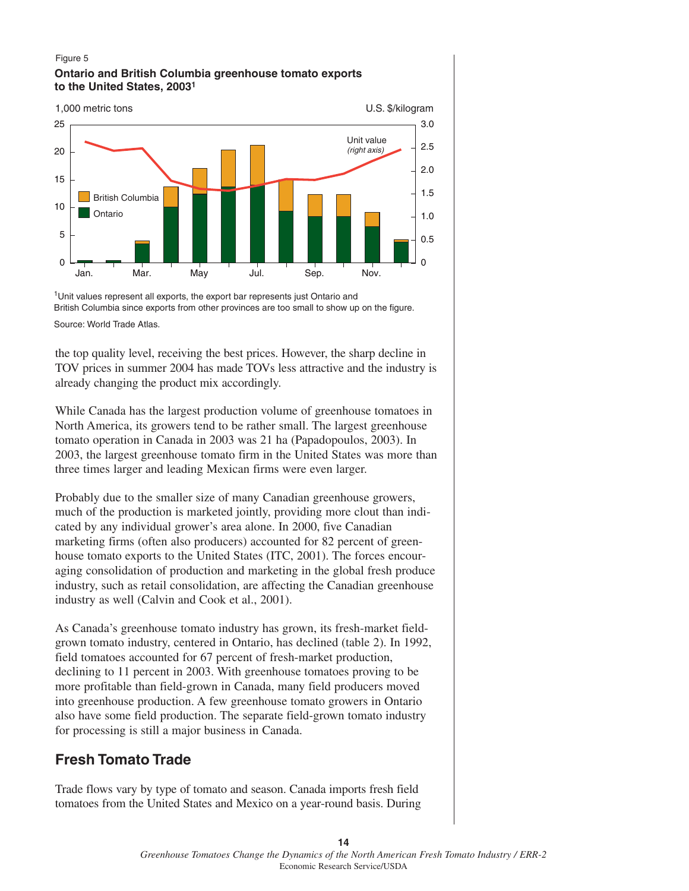#### Figure 5 **Ontario and British Columbia greenhouse tomato exports to the United States, 20031**



Source: World Trade Atlas. <sup>1</sup>Unit values represent all exports, the export bar represents just Ontario and British Columbia since exports from other provinces are too small to show up on the figure.

the top quality level, receiving the best prices. However, the sharp decline in TOV prices in summer 2004 has made TOVs less attractive and the industry is already changing the product mix accordingly.

While Canada has the largest production volume of greenhouse tomatoes in North America, its growers tend to be rather small. The largest greenhouse tomato operation in Canada in 2003 was 21 ha (Papadopoulos, 2003). In 2003, the largest greenhouse tomato firm in the United States was more than three times larger and leading Mexican firms were even larger.

Probably due to the smaller size of many Canadian greenhouse growers, much of the production is marketed jointly, providing more clout than indicated by any individual grower's area alone. In 2000, five Canadian marketing firms (often also producers) accounted for 82 percent of greenhouse tomato exports to the United States (ITC, 2001). The forces encouraging consolidation of production and marketing in the global fresh produce industry, such as retail consolidation, are affecting the Canadian greenhouse industry as well (Calvin and Cook et al., 2001).

As Canada's greenhouse tomato industry has grown, its fresh-market fieldgrown tomato industry, centered in Ontario, has declined (table 2). In 1992, field tomatoes accounted for 67 percent of fresh-market production, declining to 11 percent in 2003. With greenhouse tomatoes proving to be more profitable than field-grown in Canada, many field producers moved into greenhouse production. A few greenhouse tomato growers in Ontario also have some field production. The separate field-grown tomato industry for processing is still a major business in Canada.

# **Fresh Tomato Trade**

Trade flows vary by type of tomato and season. Canada imports fresh field tomatoes from the United States and Mexico on a year-round basis. During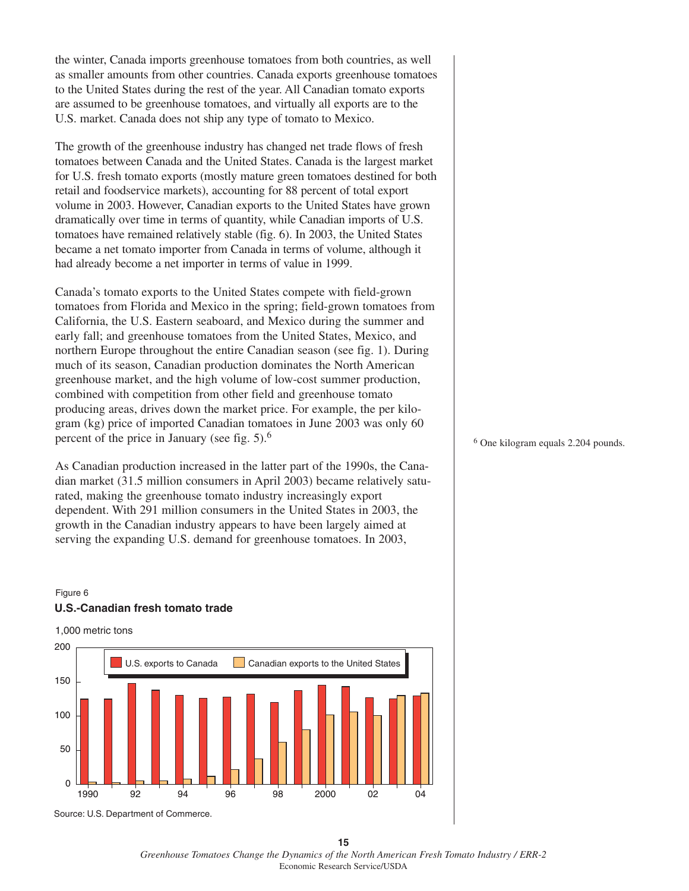the winter, Canada imports greenhouse tomatoes from both countries, as well as smaller amounts from other countries. Canada exports greenhouse tomatoes to the United States during the rest of the year. All Canadian tomato exports are assumed to be greenhouse tomatoes, and virtually all exports are to the U.S. market. Canada does not ship any type of tomato to Mexico.

The growth of the greenhouse industry has changed net trade flows of fresh tomatoes between Canada and the United States. Canada is the largest market for U.S. fresh tomato exports (mostly mature green tomatoes destined for both retail and foodservice markets), accounting for 88 percent of total export volume in 2003. However, Canadian exports to the United States have grown dramatically over time in terms of quantity, while Canadian imports of U.S. tomatoes have remained relatively stable (fig. 6). In 2003, the United States became a net tomato importer from Canada in terms of volume, although it had already become a net importer in terms of value in 1999.

Canada's tomato exports to the United States compete with field-grown tomatoes from Florida and Mexico in the spring; field-grown tomatoes from California, the U.S. Eastern seaboard, and Mexico during the summer and early fall; and greenhouse tomatoes from the United States, Mexico, and northern Europe throughout the entire Canadian season (see fig. 1). During much of its season, Canadian production dominates the North American greenhouse market, and the high volume of low-cost summer production, combined with competition from other field and greenhouse tomato producing areas, drives down the market price. For example, the per kilogram (kg) price of imported Canadian tomatoes in June 2003 was only 60 percent of the price in January (see fig. 5).<sup>6</sup>

As Canadian production increased in the latter part of the 1990s, the Canadian market (31.5 million consumers in April 2003) became relatively saturated, making the greenhouse tomato industry increasingly export dependent. With 291 million consumers in the United States in 2003, the growth in the Canadian industry appears to have been largely aimed at serving the expanding U.S. demand for greenhouse tomatoes. In 2003,

### Figure 6 **U.S.-Canadian fresh tomato trade**



<sup>6</sup> One kilogram equals 2.204 pounds.

**15** *Greenhouse Tomatoes Change the Dynamics of the North American Fresh Tomato Industry / ERR-2* Economic Research Service/USDA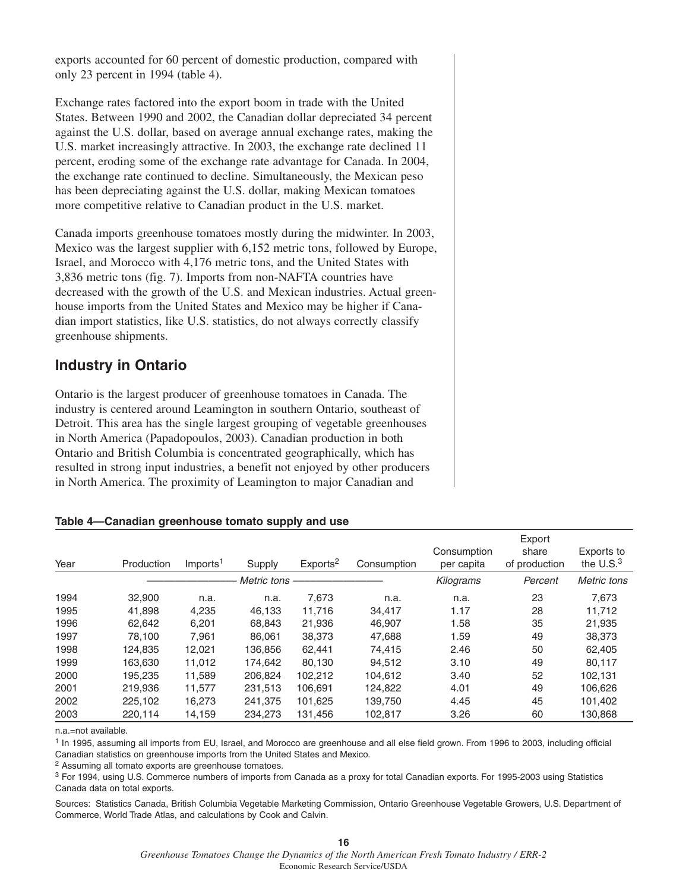exports accounted for 60 percent of domestic production, compared with only 23 percent in 1994 (table 4).

Exchange rates factored into the export boom in trade with the United States. Between 1990 and 2002, the Canadian dollar depreciated 34 percent against the U.S. dollar, based on average annual exchange rates, making the U.S. market increasingly attractive. In 2003, the exchange rate declined 11 percent, eroding some of the exchange rate advantage for Canada. In 2004, the exchange rate continued to decline. Simultaneously, the Mexican peso has been depreciating against the U.S. dollar, making Mexican tomatoes more competitive relative to Canadian product in the U.S. market.

Canada imports greenhouse tomatoes mostly during the midwinter. In 2003, Mexico was the largest supplier with 6,152 metric tons, followed by Europe, Israel, and Morocco with 4,176 metric tons, and the United States with 3,836 metric tons (fig. 7). Imports from non-NAFTA countries have decreased with the growth of the U.S. and Mexican industries. Actual greenhouse imports from the United States and Mexico may be higher if Canadian import statistics, like U.S. statistics, do not always correctly classify greenhouse shipments.

## **Industry in Ontario**

Ontario is the largest producer of greenhouse tomatoes in Canada. The industry is centered around Leamington in southern Ontario, southeast of Detroit. This area has the single largest grouping of vegetable greenhouses in North America (Papadopoulos, 2003). Canadian production in both Ontario and British Columbia is concentrated geographically, which has resulted in strong input industries, a benefit not enjoyed by other producers in North America. The proximity of Leamington to major Canadian and

### **Table 4—Canadian greenhouse tomato supply and use**

|      |            |                      |             |                      |             | Export                    |                        |                            |  |
|------|------------|----------------------|-------------|----------------------|-------------|---------------------------|------------------------|----------------------------|--|
| Year | Production | Imports <sup>1</sup> | Supply      | Exports <sup>2</sup> | Consumption | Consumption<br>per capita | share<br>of production | Exports to<br>the $U.S.^3$ |  |
|      |            |                      | Metric tons |                      |             | Kilograms                 | Percent                | Metric tons                |  |
| 1994 | 32,900     | n.a.                 | n.a.        | 7.673                | n.a.        | n.a.                      | 23                     | 7.673                      |  |
| 1995 | 41.898     | 4,235                | 46.133      | 11.716               | 34,417      | 1.17                      | 28                     | 11.712                     |  |
| 1996 | 62,642     | 6,201                | 68.843      | 21,936               | 46.907      | 1.58                      | 35                     | 21,935                     |  |
| 1997 | 78.100     | 7,961                | 86.061      | 38,373               | 47,688      | 1.59                      | 49                     | 38,373                     |  |
| 1998 | 124,835    | 12,021               | 136.856     | 62.441               | 74.415      | 2.46                      | 50                     | 62.405                     |  |
| 1999 | 163.630    | 11.012               | 174.642     | 80.130               | 94.512      | 3.10                      | 49                     | 80.117                     |  |
| 2000 | 195.235    | 11,589               | 206.824     | 102.212              | 104.612     | 3.40                      | 52                     | 102.131                    |  |
| 2001 | 219.936    | 11,577               | 231.513     | 106.691              | 124.822     | 4.01                      | 49                     | 106.626                    |  |
| 2002 | 225,102    | 16,273               | 241.375     | 101,625              | 139,750     | 4.45                      | 45                     | 101,402                    |  |
| 2003 | 220.114    | 14,159               | 234.273     | 131.456              | 102.817     | 3.26                      | 60                     | 130.868                    |  |

n.a.=not available.

<sup>1</sup> In 1995, assuming all imports from EU, Israel, and Morocco are greenhouse and all else field grown. From 1996 to 2003, including official Canadian statistics on greenhouse imports from the United States and Mexico.

<sup>2</sup> Assuming all tomato exports are greenhouse tomatoes.

<sup>3</sup> For 1994, using U.S. Commerce numbers of imports from Canada as a proxy for total Canadian exports. For 1995-2003 using Statistics Canada data on total exports.

Sources: Statistics Canada, British Columbia Vegetable Marketing Commission, Ontario Greenhouse Vegetable Growers, U.S. Department of Commerce, World Trade Atlas, and calculations by Cook and Calvin.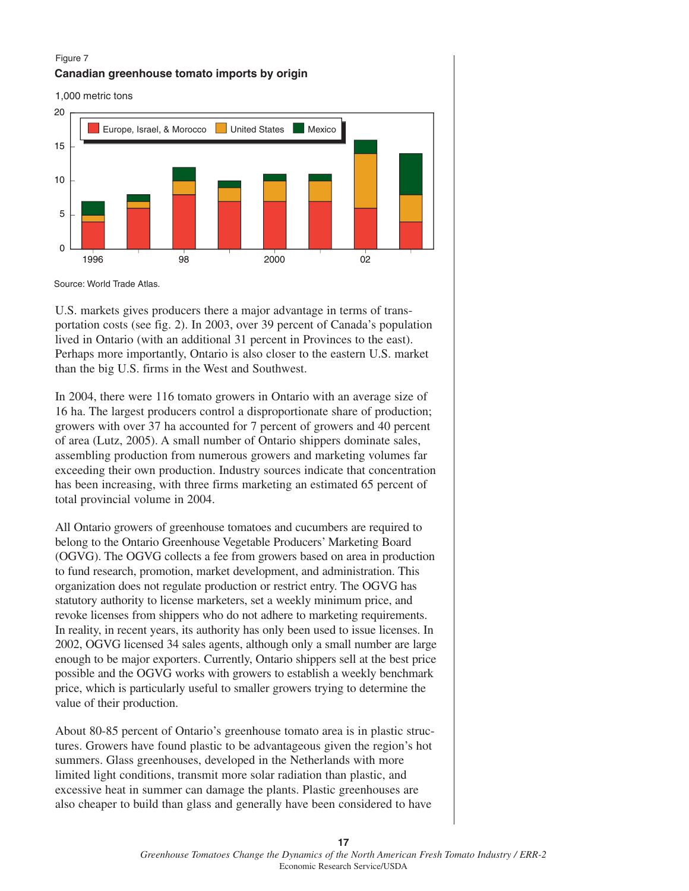#### Figure 7







Source: World Trade Atlas.

U.S. markets gives producers there a major advantage in terms of transportation costs (see fig. 2). In 2003, over 39 percent of Canada's population lived in Ontario (with an additional 31 percent in Provinces to the east). Perhaps more importantly, Ontario is also closer to the eastern U.S. market than the big U.S. firms in the West and Southwest.

In 2004, there were 116 tomato growers in Ontario with an average size of 16 ha. The largest producers control a disproportionate share of production; growers with over 37 ha accounted for 7 percent of growers and 40 percent of area (Lutz, 2005). A small number of Ontario shippers dominate sales, assembling production from numerous growers and marketing volumes far exceeding their own production. Industry sources indicate that concentration has been increasing, with three firms marketing an estimated 65 percent of total provincial volume in 2004.

All Ontario growers of greenhouse tomatoes and cucumbers are required to belong to the Ontario Greenhouse Vegetable Producers' Marketing Board (OGVG). The OGVG collects a fee from growers based on area in production to fund research, promotion, market development, and administration. This organization does not regulate production or restrict entry. The OGVG has statutory authority to license marketers, set a weekly minimum price, and revoke licenses from shippers who do not adhere to marketing requirements. In reality, in recent years, its authority has only been used to issue licenses. In 2002, OGVG licensed 34 sales agents, although only a small number are large enough to be major exporters. Currently, Ontario shippers sell at the best price possible and the OGVG works with growers to establish a weekly benchmark price, which is particularly useful to smaller growers trying to determine the value of their production.

About 80-85 percent of Ontario's greenhouse tomato area is in plastic structures. Growers have found plastic to be advantageous given the region's hot summers. Glass greenhouses, developed in the Netherlands with more limited light conditions, transmit more solar radiation than plastic, and excessive heat in summer can damage the plants. Plastic greenhouses are also cheaper to build than glass and generally have been considered to have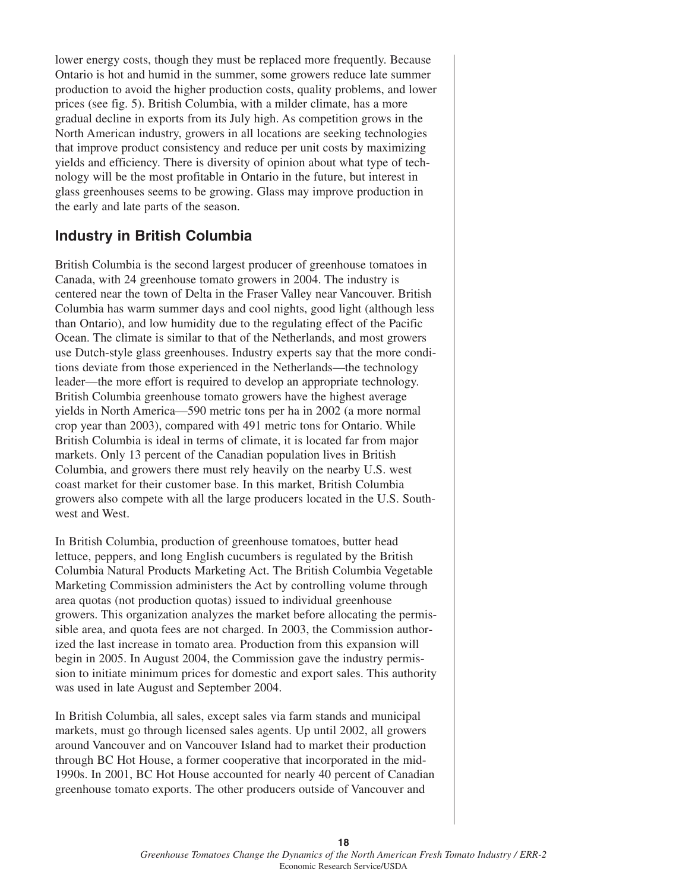lower energy costs, though they must be replaced more frequently. Because Ontario is hot and humid in the summer, some growers reduce late summer production to avoid the higher production costs, quality problems, and lower prices (see fig. 5). British Columbia, with a milder climate, has a more gradual decline in exports from its July high. As competition grows in the North American industry, growers in all locations are seeking technologies that improve product consistency and reduce per unit costs by maximizing yields and efficiency. There is diversity of opinion about what type of technology will be the most profitable in Ontario in the future, but interest in glass greenhouses seems to be growing. Glass may improve production in the early and late parts of the season.

## **Industry in British Columbia**

British Columbia is the second largest producer of greenhouse tomatoes in Canada, with 24 greenhouse tomato growers in 2004. The industry is centered near the town of Delta in the Fraser Valley near Vancouver. British Columbia has warm summer days and cool nights, good light (although less than Ontario), and low humidity due to the regulating effect of the Pacific Ocean. The climate is similar to that of the Netherlands, and most growers use Dutch-style glass greenhouses. Industry experts say that the more conditions deviate from those experienced in the Netherlands—the technology leader—the more effort is required to develop an appropriate technology. British Columbia greenhouse tomato growers have the highest average yields in North America—590 metric tons per ha in 2002 (a more normal crop year than 2003), compared with 491 metric tons for Ontario. While British Columbia is ideal in terms of climate, it is located far from major markets. Only 13 percent of the Canadian population lives in British Columbia, and growers there must rely heavily on the nearby U.S. west coast market for their customer base. In this market, British Columbia growers also compete with all the large producers located in the U.S. Southwest and West.

In British Columbia, production of greenhouse tomatoes, butter head lettuce, peppers, and long English cucumbers is regulated by the British Columbia Natural Products Marketing Act. The British Columbia Vegetable Marketing Commission administers the Act by controlling volume through area quotas (not production quotas) issued to individual greenhouse growers. This organization analyzes the market before allocating the permissible area, and quota fees are not charged. In 2003, the Commission authorized the last increase in tomato area. Production from this expansion will begin in 2005. In August 2004, the Commission gave the industry permission to initiate minimum prices for domestic and export sales. This authority was used in late August and September 2004.

In British Columbia, all sales, except sales via farm stands and municipal markets, must go through licensed sales agents. Up until 2002, all growers around Vancouver and on Vancouver Island had to market their production through BC Hot House, a former cooperative that incorporated in the mid-1990s. In 2001, BC Hot House accounted for nearly 40 percent of Canadian greenhouse tomato exports. The other producers outside of Vancouver and